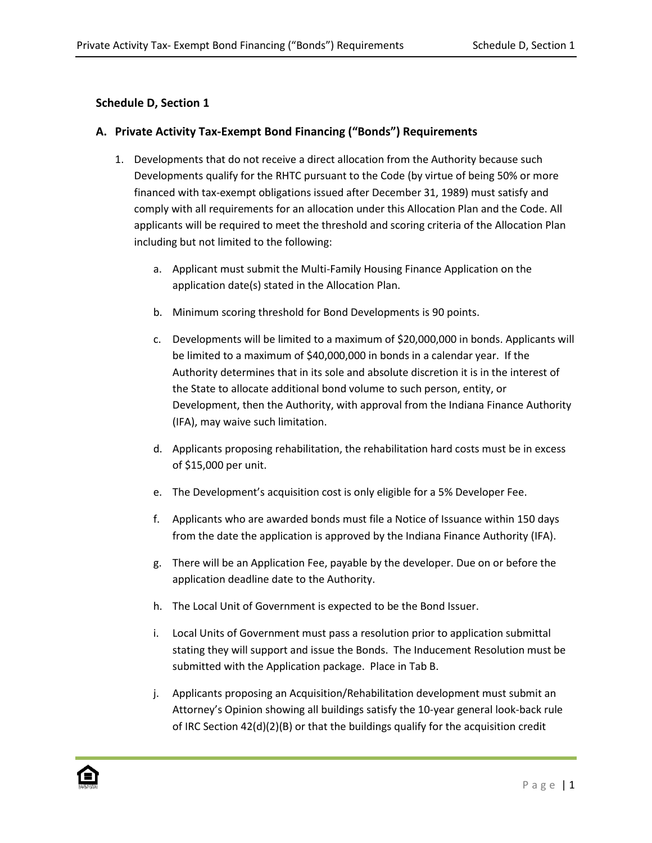## **Schedule D, Section 1**

## **A. Private Activity Tax-Exempt Bond Financing ("Bonds") Requirements**

- 1. Developments that do not receive a direct allocation from the Authority because such Developments qualify for the RHTC pursuant to the Code (by virtue of being 50% or more financed with tax-exempt obligations issued after December 31, 1989) must satisfy and comply with all requirements for an allocation under this Allocation Plan and the Code. All applicants will be required to meet the threshold and scoring criteria of the Allocation Plan including but not limited to the following:
	- a. Applicant must submit the Multi-Family Housing Finance Application on the application date(s) stated in the Allocation Plan.
	- b. Minimum scoring threshold for Bond Developments is 90 points.
	- c. Developments will be limited to a maximum of \$20,000,000 in bonds. Applicants will be limited to a maximum of \$40,000,000 in bonds in a calendar year. If the Authority determines that in its sole and absolute discretion it is in the interest of the State to allocate additional bond volume to such person, entity, or Development, then the Authority, with approval from the Indiana Finance Authority (IFA), may waive such limitation.
	- d. Applicants proposing rehabilitation, the rehabilitation hard costs must be in excess of \$15,000 per unit.
	- e. The Development's acquisition cost is only eligible for a 5% Developer Fee.
	- f. Applicants who are awarded bonds must file a Notice of Issuance within 150 days from the date the application is approved by the Indiana Finance Authority (IFA).
	- g. There will be an Application Fee, payable by the developer. Due on or before the application deadline date to the Authority.
	- h. The Local Unit of Government is expected to be the Bond Issuer.
	- i. Local Units of Government must pass a resolution prior to application submittal stating they will support and issue the Bonds. The Inducement Resolution must be submitted with the Application package. Place in Tab B.
	- j. Applicants proposing an Acquisition/Rehabilitation development must submit an Attorney's Opinion showing all buildings satisfy the 10-year general look-back rule of IRC Section  $42(d)(2)(B)$  or that the buildings qualify for the acquisition credit